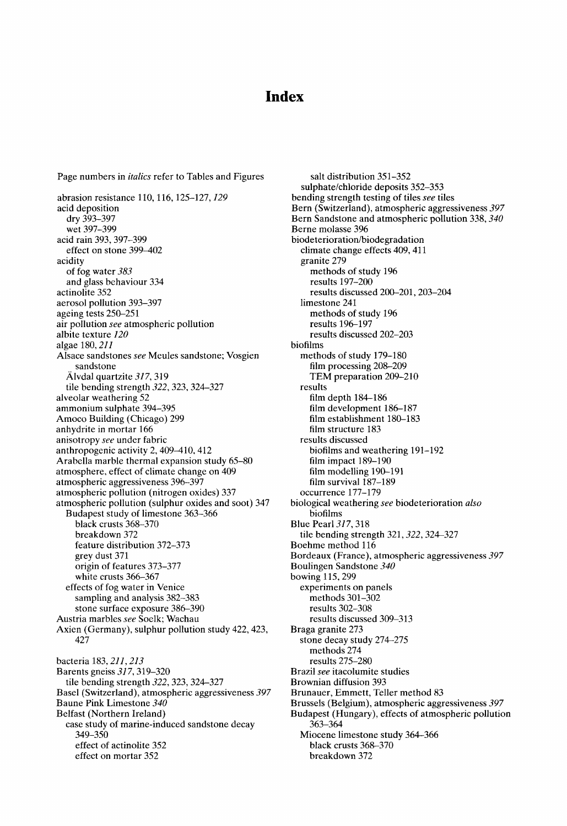# **Index**

Page numbers in *italics* refer to Tables and Figures abrasion resistance 110, 116, 125-127, *129*  acid deposition dry 393-397 wet 397-399 acid rain 393,397-399 effect on stone 399-402 acidity of fog water *383*  and glass behaviour 334 actinolite 352 aerosol pollution 393-397 ageing tests 250-251 air pollution *see* atmospheric pollution albite texture *120*  algae 180, *211*  Alsace sandstones *see* Meules sandstone; Vosgien sandstone Älvdal quartzite 317, 319 tile bending strength *322,* 323, 324-327 alveolar weathering 52 ammonium sulphate 394-395 Amoco Building (Chicago) 299 anhydrite in mortar 166 anisotropy *see* under fabric anthropogenic activity 2, 409-410, 412 Arabella marble thermal expansion study 65-80 atmosphere, effect of climate change on 409 atmospheric aggressiveness 396-397 atmospheric pollution (nitrogen oxides) 337 atmospheric pollution (sulphur oxides and soot) 347 Budapest study of limestone 363-366 black crusts 368-370 breakdown 372 feature distribution 372-373 grey dust 371 origin of features 373-377 white crusts 366-367 effects of fog water in Venice sampling and analysis 382-383 stone surface exposure 386-390 Austria marbles *see* Soelk; Wachau Axien (Germany), sulphur pollution study 422, 423, 427 bacteria 183, 211, 213 Barents gneiss *317,* 319-320 tile bending strength *322,* 323,324-327 Basel (Switzerland), atmospheric aggressiveness *397*  Baune Pink Limestone *340*  Belfast (Northern Ireland) case study of marine-induced sandstone decay 349-350 effect of actinolite 352

effect on mortar 352

salt distribution 351-352 sulphate/chloride deposits 352-353 bending strength testing of tiles *see* tiles Bern (Switzerland), atmospheric aggressiveness *397*  Bern Sandstone and atmospheric pollution 338, *340*  Berne molasse 396 biodeterioration/biodegradation climate change effects 409, 411 granite 279 methods of study 196 results 197-200 results discussed 200-201,203-204 limestone 241 methods of study 196 results 196-197 results discussed 202-203 biofilms methods of study 179-180 film processing 208-209 TEM preparation 209-210 results film depth 184-186 film development 186-187 film establishment 180-183 film structure 183 results discussed biofilms and weathering 191-192 film impact 189-190 film modelling 190-191 film survival 187-189 occurrence 177-179 biological weathering *see* biodeterioration *also*  biofilms Blue Pearl *317,* 318 tile bending strength 321,322, 324-327 Boehme method 116 Bordeaux (France), atmospheric aggressiveness *397*  Boulingen Sandstone *340*  bowing 115,299 experiments on panels methods 301-302 results 302-308 results discussed 309-313 Braga granite 273 stone decay study 274-275 methods 274 results 275-280 Brazil *see* itacolumite studies Brownian diffusion 393 Brunauer, Emmett, Teller method 83 Brussels (Belgium), atmospheric aggressiveness *397*  Budapest (Hungary), effects of atmospheric pollution 363-364 Miocene limestone study 364-366 black crusts 368-370 breakdown 372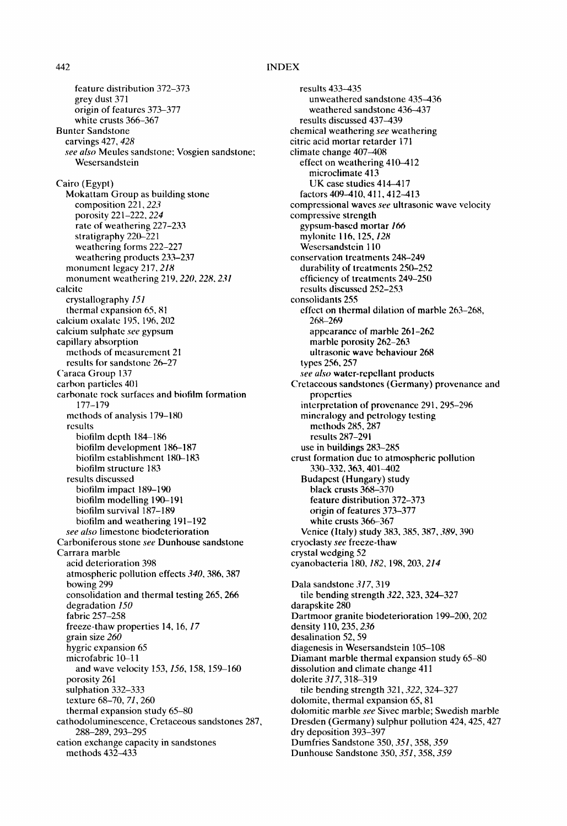feature distribution 372-373 grey dust 371 origin of features 373-377 white crusts 366-367 Bunter Sandstone carvings 427, *428 see also* Meules sandstone: Vosgien sandstone; Wesersandstein Cairo (Egypt) Mokattam Group as building stone composition 221,223 porosity 221-222. *224*  rate of weathering 227-233 stratigraphy 220-221 weathering forms 222-227 weathering products 233-237 monument legacy 217.218 monument weathering 219, *220, 228, 231*  calcite crystallography *151*  thermal cxpansion 65, 81 calcium oxalate 195, 196, 202 calcium sulphate *see* gypsum capillary absorption methods of measurement 21 results for sandstone 26-27 Caraca Group 137 carbon particles 401 carbonate rock surfaces and biolilm formation 177-179 methods of analysis 179-180 results biofilm depth 184-186 biofilm development 186-187 biofilm establishment 180-183 biofilm structure 183 results discussed biofilm impact 189-190 biofilm modelling 190-191 biofilm survival 187-189 biofilm and weathering 191-192 *see also* limestone biodeterioration Carboniferous stone *see* Dunhouse sandstone Carrara marble acid deterioration 398 atmospheric pollution effects *340,* 386, 387 bowing 299 consolidation and thermal testing 265,266 degradation *150*  fabric 257-258 freeze-thaw properties 14, 16, *17*  grain size *260*  hygric expansion 65 microfabric 10-11 and wave velocity 153, *156,* 158, 159-160 porosity 261 sulphation 332-333 texture 68-70, *71,260*  thermal expansion study 65-80 cathodoluminescence, Cretaceous sandstones 287, 288-289, 293-295 cation exchange capacity in sandstones methods  $43\overline{2}$ -433

results 433-435 unweathered sandstone 435-436 weathered sandstone 436-437 results discussed 437-439 chemical weathering *see* weathering citric acid mortar retarder 171 climate change 407-408 effect on weathering 410-412 microclimate 413 UK case studies 414-417 factors 409-410, 411, 412-413 compressional waves *see* ultrasonic wave velocity compressive strength gypsum-based mortar 166 mylonite ! 16, 125, *128*  Wesersandstein 110 conservation treatments 248-249 durability of treatments 250-252 efficiency of treatments 249-250 results discusscd 252-253 consolidants 255 effect on thermal dilation of marble 263-268, 268-269 appearance of marble 261-262 marble porosity 262-263 ultrasonic wave behaviour 268 types 256, **257**  *see also* water-repellant products Cretaceous sandstones (Germany) provenance and properties interpretation of provenance 291,295-296 mineralogy and petrology testing methods 285, 287 results 287-291 use in buildings 283-285 crust formation due to atmospheric pollution 330-332,363,401-402 Budapest (Hungary) study black crusts 368-370 feature distribution 372-373 origin of features 373-377 white crusts 366-367 Venice (Italy) study 383, 385,387,389, 390 cryoclasty *see* freeze-thaw crystal wedging 52 cyanobacteria 180, *182,* 198, 203,214 Dala sandstone *317,* 319 tile bending strength *322,* 323,324-327 darapskite 280 Dartmoor granite biodeterioration 199-200, 202 density 110, 235, 236 desalination 52, 59 diagenesis in Wesersandstein 105-108 Diamant marble thermal expansion study 65-80 dissolution and climate change 411 dolerite *317,* 318-319 tile bending strength 321, 322, 324-327 dolomite, thermal expansion 65, 81 dolomitic marble *see* Sivec marble; Swedish marble Dresden (Germany) sulphur pollution 424, 425, 427 dry deposition 393-397 Dumfries Sandstone 350, *351,358, 359*  Dunhouse Sandstone 350, *351,358, 359*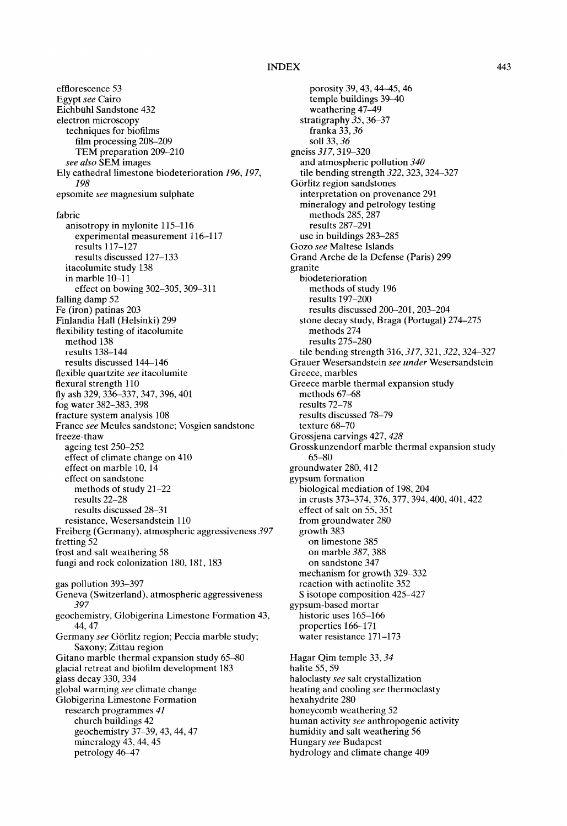efflorescence 53 Egypt *see* Cairo Eichbiihl Sandstone 432 electron microscopy techniques for biofilms film processing 208-209 TEM preparation 209-210 *see also* SEM images Ely cathedral limestone biodeterioration *196, 197, 198*  epsomite *see* magnesium sulphate fabric anisotropy in mylonite 115-116 experimental measurement 116-117 results 117-127 results discussed 127-133 itacolumite study 138 in marble 10-11 effect on bowing 302-305,309-311 falling damp 52 Fe (iron) patinas 203 Finlandia Hall (Helsinki) 299 flexibility testing of itacolumite method 138 results 138-144 results discussed 144-146 flexible quartzite *see* itacolumite flexural strength 110 fly ash 329, 336-337,347, 396, 401 fog water 382-383,398 fracture system analysis 108 France *see* Meules sandstone; Vosgien sandstone freeze-thaw ageing test 250-252 effect of climate change on 410 effect on marble 10, 14 effect on sandstone methods of study 21-22 results 22-28 results discussed 28-31 resistance, Wesersandstein 110 Freiberg (Germany), atmospheric aggressiveness *397*  fretting 52 frost and salt weathering 58 fungi and rock colonization 180, 181, 183 gas pollution 393-397 Geneva (Switzerland), atmospheric aggressiveness *397*  geochemistry, Globigerina Limestone Formation 43, 44, 47 Germany see Görlitz region; Peccia marble study; Saxony; Zittau region Gitano marble thermal expansion study 65-80 glacial retreat and biofilm development 183 glass decay 330, 334 global warming *see* climate change Globigerina Limestone Formation research programmes *41*  church buildings 42 geochemistry 37-39, 43, 44, 47 mineralogy 43, 44, 45 petrology 46-47

porosity 39, 43, 44 45, 46 temple buildings 39-40 weathering 47-49 stratigraphy *35,* 36-37 franka 33, *36*  soil 33, *36*  gneiss *317,* 319-320 and atmospheric pollution *340*  tile bending strength *322,* 323, 324-327 Görlitz region sandstones interpretation on provenance 291 mineralogy and petrology testing methods 285, 287 results 287-291 use in buildings 283-285 Gozo *see* Maltese Islands Grand Arche de la Defense (Paris) 299 granite biodeterioration methods of study 196 results 197-200 results discussed 200-201,203-204 stone decay study, Braga (Portugal) 274-275 methods 274 results 275-280 tile bending strength 316, 317, 321, 322, 324–327 Grauer Wesersandstein *see under* Wesersandstein Greece, marbles Greece marble thermal expansion study methods 67-68 results 72-78 results discussed 78-79 texture 68-70 Grossjena carvings 427, *428*  Grosskunzendorf marble thermal expansion study 65-80 groundwater 280, 412 gypsum formation biological mediation of 198, 204 in crusts 373-374, 376, 377, 394, 400, 401,422 effect of salt on 55,351 from groundwater 280 growth 383 on limestone 385 on marble *387,* 388 on sandstone 347 mechanism for growth 329-332 reaction with actinolite 352 S isotope composition 425-427 gypsum-based mortar historic uses 165-166 properties 166-171 water resistance 171-173 Hagar Qim temple 33, *34*  halite 55, 59 haloclasty *see* salt crystallization heating and cooling *see* thermoclasty hexahydrite 280 honeycomb weathering 52 human activity *see* anthropogenic activity humidity and salt weathering 56

Hungary *see* Budapest

hydrology and climate change 409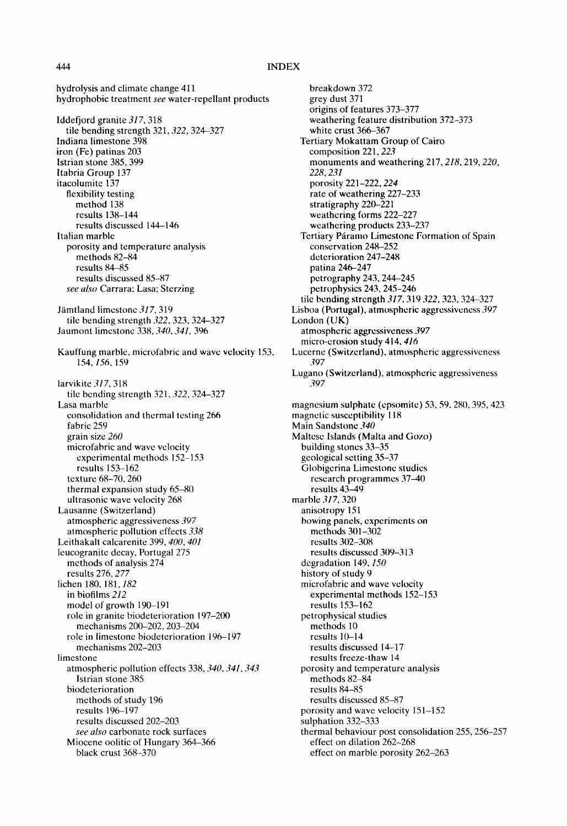hydrolysis and climate change 411 hydrophobic treatment *see* water-repellant products

Iddefjord granite *317,* 318 tile bending strength 321,322, 324-327 Indiana limestone 398 iron (Fe) patinas 203 Istrian stone 385,399 Itabria Group 137 itacolumite 137 flexibility testing method 138 results 138-144 results discussed 144-146 Italian marble porosity and temperature analysis methods 82-84 results 84-85 results discussed 85-87 *see also* Carrara; Lasa; Sterzing Jamtland limestone *317,* 319 tile bending strength *322,* 323, 324-327 Jaumont limestone 338, *340, 341,396*  Kauffung marble, microfabric and wave velocity 153, 154. *156,* 159 iarvikite *317,* 318 tile bcnding strength 321,322, 324-327 Lasa marble consolidation and thermal testing 266 fabric 259 grain size *260*  microfabric and wave velocity experimental methods 152-153 results 153-162 texture 68-70, 260 thermal expansion study 65-80 ultrasonic wave velocity 268 Lausanne (Switzerland) atmospheric aggressiveness *397*  atmospheric pollution effects *338*  Leithakalt calcarenite 399, *400, 401*  leucogranite decay, Portugal 275 methods of analysis 274 results 276, *277*  lichen 180, 181, 182 in biofilms *212*  model of growth 190-191 role in granite biodeterioration 197-200 mechanisms 200-202, 203-204 role in limestone biodeterioration 196-197 mechanisms 202-203 limestone atmospheric pollution effects 338, *340, 341,343*  Istrian stone 385 biodeterioration methods of study 196 results 196-197 results discussed 202-203 *see also* carbonate rock surfaces Miocene oolitic of Hungary 364-366 black crust 368-370

breakdown 372 grey dust 371 origins of features 373-377 weathering feature distribution 372-373 white crust 366-367 Tertiary Mokattam Group of Cairo composition 221,223 monuments and weathering 217,218, 219, *220, 228. 231*  porosity 221-222, *224*  rate of weathering 227-233 stratigraphy 220-221 weathering forms 222-227 weathering products 233-237 Tertiary Páramo Limestone Formation of Spain conservation 248-252 deterioration 247-248 patina 246-247 petrography 243,244-245 petrophysics 243, 245-246 tile bending strength 317, 319 322, 323, 324-327 Lisboa (Port ugal), atmospheric aggressiveness *397*  London (UK) atmospheric aggressiveness *397*  micro-erosion study 414, *416*  Lucerne (Switzerland). atmospheric aggressiveness *397*  Lugano (Switzerland), atmospheric aggressiveness *397*  magnesium sulphate (epsomite) 53, 59,280, 395,423 magnetic susceptibility 118 Main Sandstone *340*  Maltese Islands (Malta and Gozo) building stones 33-35 geological setting 35-37 Globigerina Limestone studies research programmes 37-40 results 43-49 marble *317,* 320 anisotropy 151 bowing panels, experiments on methods 301-302 results 302-308 results discussed 309-313 degradation 149, *150*  history of study 9 microfabric and wave velocity experimental methods 152-153 results 153-162 petrophysical studies methods 10 results 10-14 results discussed 14-17 results freeze-thaw 14 porosity and temperature analysis methods 82-84 results 84-85 results discussed 85-87 porosity and wave velocity 151-152 sulphation 332-333 thermal behaviour post consolidation 255,256-257 effect on dilation 262-268 effect on marble porosity 262-263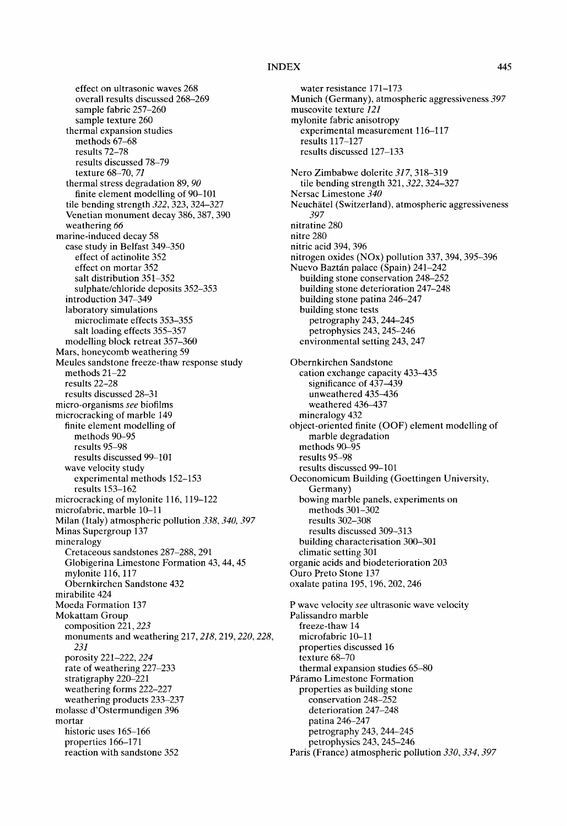effect on ultrasonic waves 268 overall results discussed 268-269 sample fabric 257-260 sample texture 260 thermal expansion studies methods 67-68 results 72-78 results discussed 78-79 texture 68-70, *71*  thermal stress degradation 89, *90*  finite element modelling of 90-101 tile bending strength *322,* 323, 324-327 Venetian monument decay 386, 387,390 weathering *66*  marine-induced decay 58 case study in Belfast 349-350 effect of actinolite 352 effect on mortar 352 salt distribution 351-352 sulphate/chloride deposits 352-353 introduction 347-349 laboratory simulations microclimate effects 353-355 salt loading effects 355-357 modelling block retreat 357-360 Mars, honeycomb weathering 59 Meules sandstone freeze-thaw response study methods 21-22 results 22-28 results discussed 28-31 micro-organisms *see* biofilms microcracking of marble 149 finite element modelling of methods 90-95 results 95-98 results discussed 99-101 wave velocity study experimental methods 152-153 results 153-162 microcracking of mylonite 116, 119-122 microfabric, marble 10-11 Milan (Italy) atmospheric pollution *338, 340, 397*  Minas Supergroup 137 mineralogy Cretaceous sandstones 287-288, 291 Globigerina Limestone Formation 43, 44, 45 mylonite 116, 117 Obernkirchen Sandstone 432 mirabilite 424 Moeda Formation 137 Mokattam Group composition 221, 223 monuments and weathering 217, *218,* 219, *220, 228, 231*  porosity 221-222, *224*  rate of weathering 227-233 stratigraphy 220-221 weathering forms 222-227 weathering products 233-237 molasse d'Ostermundigen 396 mortar historic uses 165-166 properties 166-171 reaction with sandstone 352

water resistance 171-173 Munich (Germany), atmospheric aggressiveness *397*  muscovite texture *121*  mylonite fabric anisotropy experimental measurement 116-117 results 117-127 results discussed 127-133 Nero Zimbabwe dolerite *317,* 318-319 tile bending strength 321, 322, 324-327 Nersac Limestone *340*  Neuchätel (Switzerland), atmospheric aggressiveness *397*  nitratine 280 nitre 280 nitric acid 394, 396 nitrogen oxides (NOx) pollution 337, 394, 395-396 Nuevo Baztán palace (Spain) 241-242 building stone conservation 248-252 building stone deterioration 247-248 building stone patina 246-247 building stone tests petrography 243, 244-245 petrophysies 243, 245-246 environmental setting 243, 247 Obernkirchen Sandstone cation exchange capacity 433-435 significance of  $4\overline{37} - 4\overline{39}$ unweathered 435-436 weathered 436-437 mineralogy 432 object-oriented finite (OOF) element modelling of marble degradation methods 90-95 results 95-98 results discussed 99-101 Oeconomicum Building (Goettingen University, Germany) bowing marble panels, experiments on methods 301-302 results 302-308 results discussed 309-313 building characterisation 300-301 climatic setting 301 organic acids and biodeterioration 203 Ouro Preto Stone 137 oxalate patina 195,196,202,246 P wave velocity *see* ultrasonic wave velocity Palissandro marble freeze-thaw 14 microfabric 10-11 properties discussed 16 texture 68-70 thermal expansion studies 65-80 Páramo Limestone Formation properties as building stone conservation 248-252 deterioration 247-248 patina 246-247 petrography 243, 244-245 petrophysics 243, 245-246 Paris (France) atmospheric pollution *330, 334, 397*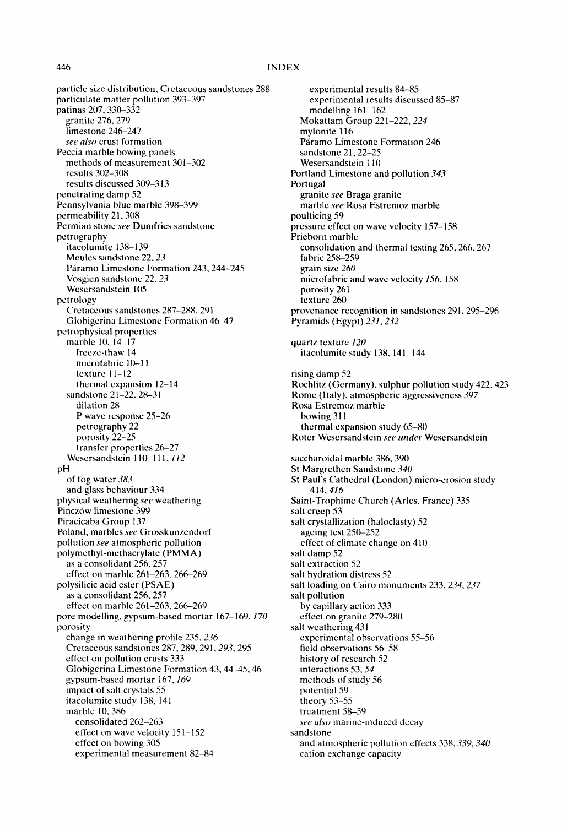particle size distribution, Cretaceous sandstones 288 particulate matter pollution 393-397 patinas 207,330-332 granite 276, 279 limestone 246-247 *see also* crust formation Peccia marble bowing panels methods of measurement 301-302 results 302-308 results discussed 309-313 penetrating damp 52 Pennsylvania blue marble 398-399 permeability 21. 308 Permian stone *see* Dumfries sandstone petrography itacolumite 138-139 Meules sandstone 22, *23*  Páramo Limestone Formation 243, 244-245 Vosgien sandstone 22, 23 Wesersandstein 105 petrology Cretaceous sandstones 287-288. 291 Globigcrina Limestone Formation 46-47 pctrophysical properties marble 10, 14-17 freeze-thaw 14 microfabric 10-11 texture 11-12 thermal expansion 12-14 sandstone 21-22.28-3 I dilation 28 P wave response 25-26 petrography 22 porosity 22-25 transfer properties 26-27 Wesersandstein 110-111, 112 pH of fog water *383*  and glass behaviour 334 physical weathering *see* weathering Pincz6w limestone 399 Piracicaba Group 137 Poland, marbles *see* Grosskunzendorf pollution *see* atmospheric pollution polymethyl-methacrylate (PMMA) as a consolidant 256. 257 effect on marble 261-263. 266-269 polysilicic acid ester (PSAE) as a consolidant 256, 257 effect on marble 261-263.266-269 pore modelling, gypsum-based mortar 167-169. *170*  porosity change in weathering profile 235, 236 Cretaceous sandstones 287, 289, 291, 293, 295 effect on pollution crusts 333 Globigerina Limestone Formation 43, 44-45, 46 gypsum-based mortar 167. *169*  impact of salt crystals 55 itacolumite study 138. 141 marble 10. 386 consolidated 262-263 effect on wave velocity 151-152 effect on bowing 305 experimental measurement 82-84

experimental results 84-85 experimental results discussed 85-87 modelling 161-162 Mokattam Group 221-222.224 mylonite 116 Páramo Limestone Formation 246 sandstone 21, 22-25 Wesersandstein 110 Portland Limestone and pollution 343 Portugal granite *see* Braga granite marble *see* Rosa Estremoz marble poulticing 59 pressure effect on wave velocity 157-158 Pricborn marble consolidation and thermal testing 265.266.267 fabric 258-259 grain size *260*  microfabric and wave velocity *156.* 158 porosity 261 texture 260 provenance recognition in sandstones 291. 295-296 Pyramids (Egypt) *Ztl. 2.t2*  quartz texture *120*  itacolumitc study 138. 141-144 rising damp 52 Rochlitz (Germany). sulphur pollution study 422.423 Rome ( italy), atmospheric aggressiveness *397*  Rosa Estrcmoz marble bowing 31 I thermal expansion study 65-80 Roter Wesersandstein see under Wesersandstein saccharoidal marble 386, 390 St Margrethcn Sandstone *340*  St Paul's Cathedral (London) micro-erosion study 414.416 Saint-Trophimc Church (Aries. France) 335 salt creep 53 salt crystallization (haloclasty) 52 ageing test 250-252 effect of climate change on 410 salt damp 52 salt extraction 52 salt hydration distress 52 salt loading on Cairo monuments 233, 234, 237 salt pollution by capillary action 333 effect on granite 279-280 salt weathering 431 experimental observations 55-56 field observations 56-58 history of research 52 interactions 53.54 methods of study 56 potential 59 theory 53-55 treatment 58-59 *see also* marine-induced decay sandstone and atmospheric pollution effects 338. *339, 340*  cation exchange capacity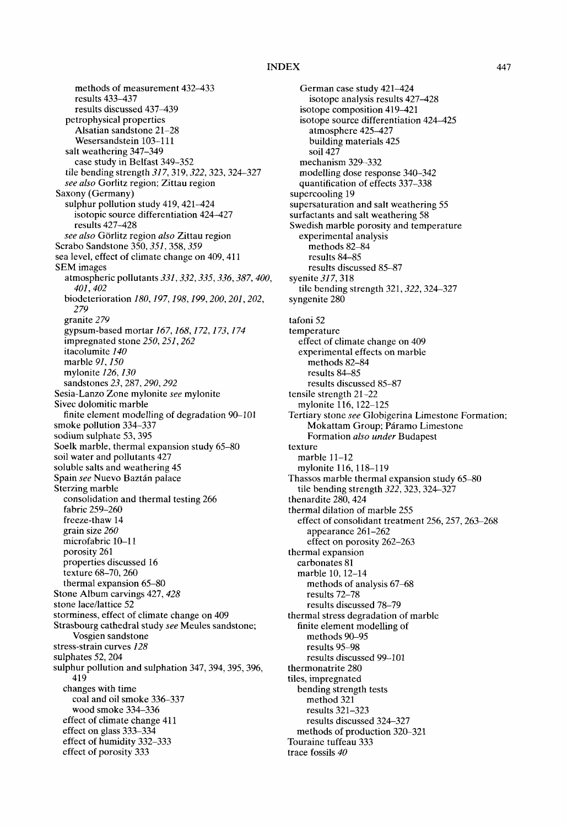methods of measurement 432-433 results 433-437 results discussed 437-439 petrophysical properties Alsatian sandstone 21-28 Wesersandstein 103-111 salt weathering 347-349 case study in Belfast 349-352 tile bending strength *317,* 3t9, *322,* 323, 324-327 *see also* Gorlitz region; Zittau region Saxony (Germany) sulphur pollution study 419, 421-424 isotopic source differentiation 424-427 results 427-428  $see also Görlitz region also Zittau region$ Scrabo Sandstone 350, *351,358, 359*  sea level, effect of climate change on 409, 411 SEM images atmospheric pollutants *331,332, 335, 336, 387, 400, 401,402*  biodeterioration *180, 197, 198, 199, 200, 201,202, 279*  granite *279*  gypsum-based mortar *167, 168,172, 173, 174*  impregnated stone *250, 251,262*  itacolumite *140*  marble *91, 150*  mylonite *126, 130*  sandstones *23,* 287,290, *292*  Sesia-Lanzo Zone mylonite *see* mylonite Sivec dolomitic marble finite element modelling of degradation 90-101 smoke pollution 334-337 sodium sulphate 53, 395 Soelk marble, thermal expansion study 65-80 soil water and pollutants 427 soluble salts and weathering 45 Spain see Nuevo Baztán palace Sterzing marble consolidation and thermal testing 266 fabric 259-260 freeze-thaw 14 grain size *260*  microfabric 10-11 porosity 261 properties discussed 16 texture 68-70, 260 thermal expansion 65-80 Stone Album carvings 427, 428 stone lace/lattice 52 storminess, effect of climate change on 409 Strasbourg cathedral study *see* Meules sandstone; Vosgien sandstone stress-strain curves *128*  sulphates 52, 204 sulphur pollution and sulphation 347, 394, 395, 396, 419 changes with time coal and oil smoke 336-337 wood smoke 334-336 effect of climate change 411 effect on glass 333-334 effect of humidity 332-333 effect of porosity 333

German case study 421-424 isotope analysis results 427-428 isotope composition 419-421 isotope source differentiation 424-425 atmosphere 425-427 building materials 425 soil 427 mechanism 329-332 modelling dose response 340-342 quantification of effects 337-338 supercooling 19 supersaturation and salt weathering 55 surfactants and salt weathering 58 Swedish marble porosity and temperature experimental analysis methods 82-84 results 84-85 results discussed 85-87 syenite *317,* 318 tile bending strength 321,322,324-327 syngenite 280 tafoni 52 temperature effect of climate change on 409 experimental effects on marble methods 82-84 results 84-85 results discussed 85-87 tensile strength 21-22 mylonite 116, 122-125 Tertiary stone *see* Globigerina Limestone Formation; Mokattam Group; Páramo Limestone Formation *also under* Budapest texture marble 11-12 mylonite 116, 118-119 Thassos marble thermal expansion study 65-80 tile bending strength *322,323,324-327*  thenardite 280, 424 thermal dilation of marble 255 effect of consolidant treatment 256, 257, 263-268 appearance 261-262 effect on porosity 262-263 thermal expansion carbonates 81 marble 10, 12-14 methods of analysis 67-68 results 72-78 results discussed 78-79 thermal stress degradation of marble finite element modelling of methods 90-95 results 95-98 results discussed 99-101 thermonatrite 280 tiles, impregnated bending strength tests method 321 results 321-323 results discussed 324-327 methods of production 320-321 Touraine tuffeau 333 trace fossils *40*